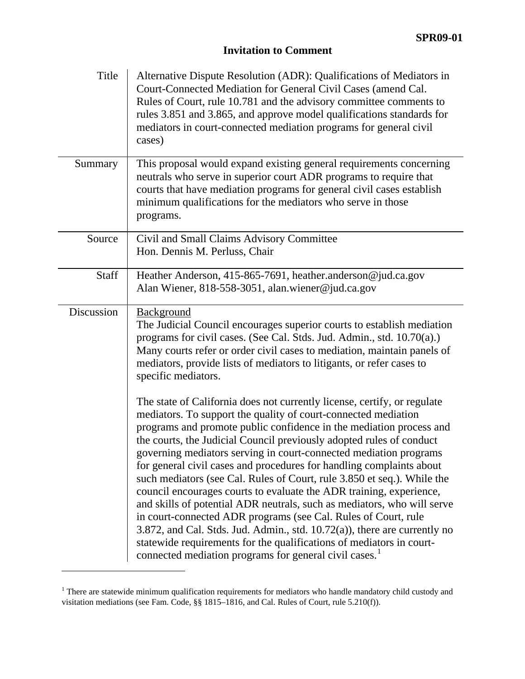## **Invitation to Comment**

| Title             | Alternative Dispute Resolution (ADR): Qualifications of Mediators in<br>Court-Connected Mediation for General Civil Cases (amend Cal.<br>Rules of Court, rule 10.781 and the advisory committee comments to<br>rules 3.851 and 3.865, and approve model qualifications standards for<br>mediators in court-connected mediation programs for general civil<br>cases)                                                                                                                                                                                                                                                                                                                                                                                                                                                                                                                                                                                                 |
|-------------------|---------------------------------------------------------------------------------------------------------------------------------------------------------------------------------------------------------------------------------------------------------------------------------------------------------------------------------------------------------------------------------------------------------------------------------------------------------------------------------------------------------------------------------------------------------------------------------------------------------------------------------------------------------------------------------------------------------------------------------------------------------------------------------------------------------------------------------------------------------------------------------------------------------------------------------------------------------------------|
| Summary           | This proposal would expand existing general requirements concerning<br>neutrals who serve in superior court ADR programs to require that<br>courts that have mediation programs for general civil cases establish<br>minimum qualifications for the mediators who serve in those<br>programs.                                                                                                                                                                                                                                                                                                                                                                                                                                                                                                                                                                                                                                                                       |
| Source            | Civil and Small Claims Advisory Committee<br>Hon. Dennis M. Perluss, Chair                                                                                                                                                                                                                                                                                                                                                                                                                                                                                                                                                                                                                                                                                                                                                                                                                                                                                          |
| Staff             | Heather Anderson, 415-865-7691, heather.anderson@jud.ca.gov<br>Alan Wiener, 818-558-3051, alan.wiener@jud.ca.gov                                                                                                                                                                                                                                                                                                                                                                                                                                                                                                                                                                                                                                                                                                                                                                                                                                                    |
| <b>Discussion</b> | Background<br>The Judicial Council encourages superior courts to establish mediation<br>programs for civil cases. (See Cal. Stds. Jud. Admin., std. 10.70(a).)<br>Many courts refer or order civil cases to mediation, maintain panels of<br>mediators, provide lists of mediators to litigants, or refer cases to<br>specific mediators.                                                                                                                                                                                                                                                                                                                                                                                                                                                                                                                                                                                                                           |
|                   | The state of California does not currently license, certify, or regulate<br>mediators. To support the quality of court-connected mediation<br>programs and promote public confidence in the mediation process and<br>the courts, the Judicial Council previously adopted rules of conduct<br>governing mediators serving in court-connected mediation programs<br>for general civil cases and procedures for handling complaints about<br>such mediators (see Cal. Rules of Court, rule 3.850 et seq.). While the<br>council encourages courts to evaluate the ADR training, experience,<br>and skills of potential ADR neutrals, such as mediators, who will serve<br>in court-connected ADR programs (see Cal. Rules of Court, rule<br>3.872, and Cal. Stds. Jud. Admin., std. $10.72(a)$ ), there are currently no<br>statewide requirements for the qualifications of mediators in court-<br>connected mediation programs for general civil cases. <sup>1</sup> |

<span id="page-0-0"></span><sup>&</sup>lt;sup>1</sup> There are statewide minimum qualification requirements for mediators who handle mandatory child custody and visitation mediations (see Fam. Code, §§ 1815–1816, and Cal. Rules of Court, rule 5.210(f)).

 $\overline{a}$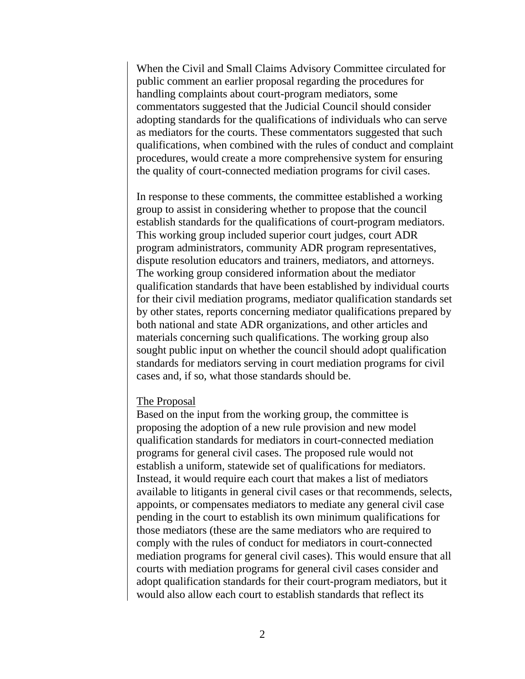When the Civil and Small Claims Advisory Committee circulated for public comment an earlier proposal regarding the procedures for handling complaints about court-program mediators, some commentators suggested that the Judicial Council should consider adopting standards for the qualifications of individuals who can serve as mediators for the courts. These commentators suggested that such qualifications, when combined with the rules of conduct and complaint procedures, would create a more comprehensive system for ensuring the quality of court-connected mediation programs for civil cases.

In response to these comments, the committee established a working group to assist in considering whether to propose that the council establish standards for the qualifications of court-program mediators. This working group included superior court judges, court ADR program administrators, community ADR program representatives, dispute resolution educators and trainers, mediators, and attorneys. The working group considered information about the mediator qualification standards that have been established by individual courts for their civil mediation programs, mediator qualification standards set by other states, reports concerning mediator qualifications prepared by both national and state ADR organizations, and other articles and materials concerning such qualifications. The working group also sought public input on whether the council should adopt qualification standards for mediators serving in court mediation programs for civil cases and, if so, what those standards should be.

## The Proposal

Based on the input from the working group, the committee is proposing the adoption of a new rule provision and new model qualification standards for mediators in court-connected mediation programs for general civil cases. The proposed rule would not establish a uniform, statewide set of qualifications for mediators. Instead, it would require each court that makes a list of mediators available to litigants in general civil cases or that recommends, selects, appoints, or compensates mediators to mediate any general civil case pending in the court to establish its own minimum qualifications for those mediators (these are the same mediators who are required to comply with the rules of conduct for mediators in court-connected mediation programs for general civil cases). This would ensure that all courts with mediation programs for general civil cases consider and adopt qualification standards for their court-program mediators, but it would also allow each court to establish standards that reflect its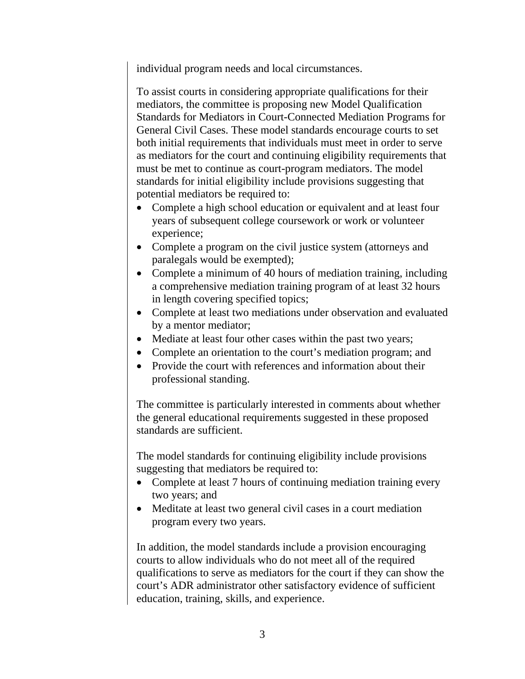individual program needs and local circumstances.

To assist courts in considering appropriate qualifications for their mediators, the committee is proposing new Model Qualification Standards for Mediators in Court-Connected Mediation Programs for General Civil Cases. These model standards encourage courts to set both initial requirements that individuals must meet in order to serve as mediators for the court and continuing eligibility requirements that must be met to continue as court-program mediators. The model standards for initial eligibility include provisions suggesting that potential mediators be required to:

- Complete a high school education or equivalent and at least four years of subsequent college coursework or work or volunteer experience;
- Complete a program on the civil justice system (attorneys and paralegals would be exempted);
- Complete a minimum of 40 hours of mediation training, including a comprehensive mediation training program of at least 32 hours in length covering specified topics;
- Complete at least two mediations under observation and evaluated by a mentor mediator;
- Mediate at least four other cases within the past two years;
- Complete an orientation to the court's mediation program; and
- Provide the court with references and information about their professional standing.

The committee is particularly interested in comments about whether the general educational requirements suggested in these proposed standards are sufficient.

The model standards for continuing eligibility include provisions suggesting that mediators be required to:

- Complete at least 7 hours of continuing mediation training every two years; and
- Meditate at least two general civil cases in a court mediation program every two years.

In addition, the model standards include a provision encouraging courts to allow individuals who do not meet all of the required qualifications to serve as mediators for the court if they can show the court's ADR administrator other satisfactory evidence of sufficient education, training, skills, and experience.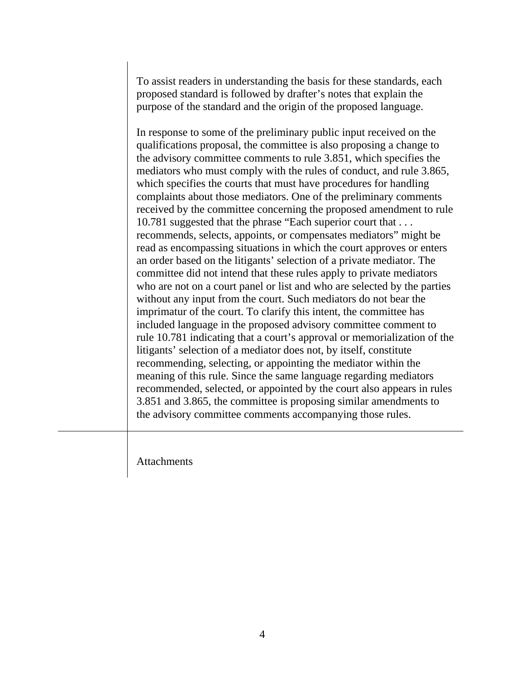To assist readers in understanding the basis for these standards, each proposed standard is followed by drafter's notes that explain the purpose of the standard and the origin of the proposed language.

In response to some of the preliminary public input received on the qualifications proposal, the committee is also proposing a change to the advisory committee comments to rule 3.851, which specifies the mediators who must comply with the rules of conduct, and rule 3.865, which specifies the courts that must have procedures for handling complaints about those mediators. One of the preliminary comments received by the committee concerning the proposed amendment to rule 10.781 suggested that the phrase "Each superior court that . . . recommends, selects, appoints, or compensates mediators" might be read as encompassing situations in which the court approves or enters an order based on the litigants' selection of a private mediator. The committee did not intend that these rules apply to private mediators who are not on a court panel or list and who are selected by the parties without any input from the court. Such mediators do not bear the imprimatur of the court. To clarify this intent, the committee has included language in the proposed advisory committee comment to rule 10.781 indicating that a court's approval or memorialization of the litigants' selection of a mediator does not, by itself, constitute recommending, selecting, or appointing the mediator within the meaning of this rule. Since the same language regarding mediators recommended, selected, or appointed by the court also appears in rules 3.851 and 3.865, the committee is proposing similar amendments to the advisory committee comments accompanying those rules.

Attachments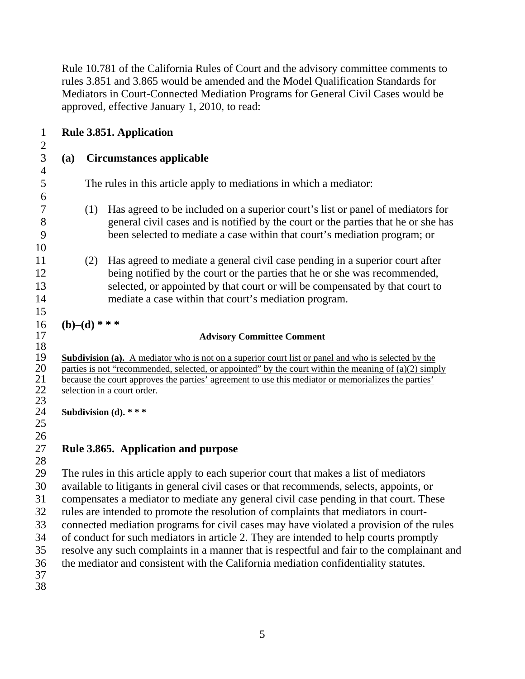Rule 10.781 of the California Rules of Court and the advisory committee comments to rules 3.851 and 3.865 would be amended and the Model Qualification Standards for Mediators in Court-Connected Mediation Programs for General Civil Cases would be approved, effective January 1, 2010, to read:

| $\mathbf{1}$                                                   |                                                                                                                                                                                                                                                                                                                                                                                                                                                                                                                                                                                                                                                                                                                                           | <b>Rule 3.851. Application</b> |                                                                                                                                                                                                                                                                                                     |  |  |
|----------------------------------------------------------------|-------------------------------------------------------------------------------------------------------------------------------------------------------------------------------------------------------------------------------------------------------------------------------------------------------------------------------------------------------------------------------------------------------------------------------------------------------------------------------------------------------------------------------------------------------------------------------------------------------------------------------------------------------------------------------------------------------------------------------------------|--------------------------------|-----------------------------------------------------------------------------------------------------------------------------------------------------------------------------------------------------------------------------------------------------------------------------------------------------|--|--|
| $\overline{2}$<br>3<br><b>Circumstances applicable</b><br>(a)  |                                                                                                                                                                                                                                                                                                                                                                                                                                                                                                                                                                                                                                                                                                                                           |                                |                                                                                                                                                                                                                                                                                                     |  |  |
| $\overline{4}$<br>5                                            |                                                                                                                                                                                                                                                                                                                                                                                                                                                                                                                                                                                                                                                                                                                                           |                                | The rules in this article apply to mediations in which a mediator:                                                                                                                                                                                                                                  |  |  |
| 6<br>7<br>8<br>9<br>10                                         |                                                                                                                                                                                                                                                                                                                                                                                                                                                                                                                                                                                                                                                                                                                                           | (1)                            | Has agreed to be included on a superior court's list or panel of mediators for<br>general civil cases and is notified by the court or the parties that he or she has<br>been selected to mediate a case within that court's mediation program; or                                                   |  |  |
| 11<br>12<br>13<br>14<br>15                                     |                                                                                                                                                                                                                                                                                                                                                                                                                                                                                                                                                                                                                                                                                                                                           | (2)                            | Has agreed to mediate a general civil case pending in a superior court after<br>being notified by the court or the parties that he or she was recommended,<br>selected, or appointed by that court or will be compensated by that court to<br>mediate a case within that court's mediation program. |  |  |
| 16                                                             | $(b)$ –(d) * * *                                                                                                                                                                                                                                                                                                                                                                                                                                                                                                                                                                                                                                                                                                                          |                                |                                                                                                                                                                                                                                                                                                     |  |  |
| 17                                                             |                                                                                                                                                                                                                                                                                                                                                                                                                                                                                                                                                                                                                                                                                                                                           |                                | <b>Advisory Committee Comment</b>                                                                                                                                                                                                                                                                   |  |  |
| 18<br>19<br>20<br>21<br>$\frac{22}{23}$<br>24<br>25<br>26      | <b>Subdivision (a).</b> A mediator who is not on a superior court list or panel and who is selected by the<br>parties is not "recommended, selected, or appointed" by the court within the meaning of $(a)(2)$ simply<br>because the court approves the parties' agreement to use this mediator or memorializes the parties'<br>selection in a court order.<br>Subdivision (d). ***                                                                                                                                                                                                                                                                                                                                                       |                                |                                                                                                                                                                                                                                                                                                     |  |  |
| 27                                                             |                                                                                                                                                                                                                                                                                                                                                                                                                                                                                                                                                                                                                                                                                                                                           |                                | Rule 3.865. Application and purpose                                                                                                                                                                                                                                                                 |  |  |
| 28<br>29<br>30<br>31<br>32<br>33<br>34<br>35<br>36<br>37<br>38 | The rules in this article apply to each superior court that makes a list of mediators<br>available to litigants in general civil cases or that recommends, selects, appoints, or<br>compensates a mediator to mediate any general civil case pending in that court. These<br>rules are intended to promote the resolution of complaints that mediators in court-<br>connected mediation programs for civil cases may have violated a provision of the rules<br>of conduct for such mediators in article 2. They are intended to help courts promptly<br>resolve any such complaints in a manner that is respectful and fair to the complainant and<br>the mediator and consistent with the California mediation confidentiality statutes. |                                |                                                                                                                                                                                                                                                                                                     |  |  |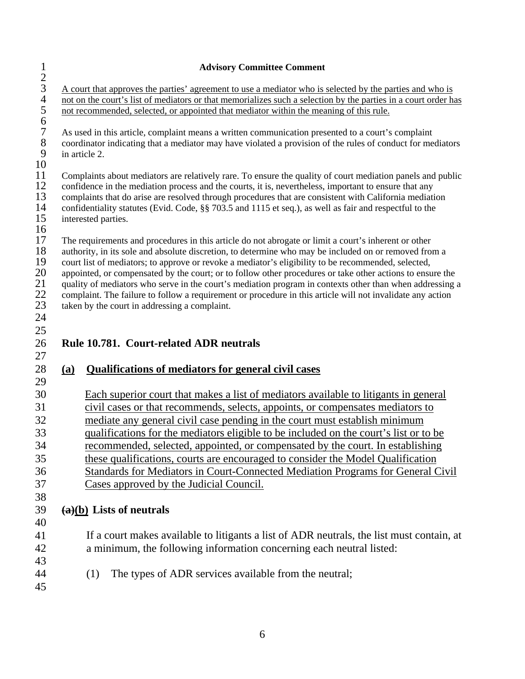|                                                  | <b>Advisory Committee Comment</b>                                                                                                                                                                                                                                                                                                                                                                                                                                                                                                                                                                                                                                                                            |
|--------------------------------------------------|--------------------------------------------------------------------------------------------------------------------------------------------------------------------------------------------------------------------------------------------------------------------------------------------------------------------------------------------------------------------------------------------------------------------------------------------------------------------------------------------------------------------------------------------------------------------------------------------------------------------------------------------------------------------------------------------------------------|
| $\frac{1}{2}$ 3 4 5                              | A court that approves the parties' agreement to use a mediator who is selected by the parties and who is<br>not on the court's list of mediators or that memorializes such a selection by the parties in a court order has<br>not recommended, selected, or appointed that mediator within the meaning of this rule.                                                                                                                                                                                                                                                                                                                                                                                         |
| $\frac{6}{7}$<br>8<br>9<br>10                    | As used in this article, complaint means a written communication presented to a court's complaint<br>coordinator indicating that a mediator may have violated a provision of the rules of conduct for mediators<br>in article 2.                                                                                                                                                                                                                                                                                                                                                                                                                                                                             |
| 11<br>12<br>13<br>14<br>15<br>16                 | Complaints about mediators are relatively rare. To ensure the quality of court mediation panels and public<br>confidence in the mediation process and the courts, it is, nevertheless, important to ensure that any<br>complaints that do arise are resolved through procedures that are consistent with California mediation<br>confidentiality statutes (Evid. Code, §§ 703.5 and 1115 et seq.), as well as fair and respectful to the<br>interested parties.                                                                                                                                                                                                                                              |
| 17<br>18<br>19<br>20<br>21<br>$22\,$<br>23<br>24 | The requirements and procedures in this article do not abrogate or limit a court's inherent or other<br>authority, in its sole and absolute discretion, to determine who may be included on or removed from a<br>court list of mediators; to approve or revoke a mediator's eligibility to be recommended, selected,<br>appointed, or compensated by the court; or to follow other procedures or take other actions to ensure the<br>quality of mediators who serve in the court's mediation program in contexts other than when addressing a<br>complaint. The failure to follow a requirement or procedure in this article will not invalidate any action<br>taken by the court in addressing a complaint. |
| 25<br>26                                         | Rule 10.781. Court-related ADR neutrals                                                                                                                                                                                                                                                                                                                                                                                                                                                                                                                                                                                                                                                                      |
| 27                                               |                                                                                                                                                                                                                                                                                                                                                                                                                                                                                                                                                                                                                                                                                                              |
| 28<br>29                                         | <b>Qualifications of mediators for general civil cases</b><br>(a)                                                                                                                                                                                                                                                                                                                                                                                                                                                                                                                                                                                                                                            |
| 30                                               | Each superior court that makes a list of mediators available to litigants in general                                                                                                                                                                                                                                                                                                                                                                                                                                                                                                                                                                                                                         |
| 31<br>32                                         | civil cases or that recommends, selects, appoints, or compensates mediators to<br>mediate any general civil case pending in the court must establish minimum                                                                                                                                                                                                                                                                                                                                                                                                                                                                                                                                                 |
| 33                                               | qualifications for the mediators eligible to be included on the court's list or to be                                                                                                                                                                                                                                                                                                                                                                                                                                                                                                                                                                                                                        |
| 34                                               | recommended, selected, appointed, or compensated by the court. In establishing                                                                                                                                                                                                                                                                                                                                                                                                                                                                                                                                                                                                                               |
| 35                                               | these qualifications, courts are encouraged to consider the Model Qualification                                                                                                                                                                                                                                                                                                                                                                                                                                                                                                                                                                                                                              |
| 36                                               | Standards for Mediators in Court-Connected Mediation Programs for General Civil                                                                                                                                                                                                                                                                                                                                                                                                                                                                                                                                                                                                                              |
| 37                                               | Cases approved by the Judicial Council.                                                                                                                                                                                                                                                                                                                                                                                                                                                                                                                                                                                                                                                                      |
| 38                                               |                                                                                                                                                                                                                                                                                                                                                                                                                                                                                                                                                                                                                                                                                                              |
| 39                                               | $\left(\frac{a}{b}\right)$ Lists of neutrals                                                                                                                                                                                                                                                                                                                                                                                                                                                                                                                                                                                                                                                                 |
| 40<br>41                                         | If a court makes available to litigants a list of ADR neutrals, the list must contain, at                                                                                                                                                                                                                                                                                                                                                                                                                                                                                                                                                                                                                    |
| 42                                               | a minimum, the following information concerning each neutral listed:                                                                                                                                                                                                                                                                                                                                                                                                                                                                                                                                                                                                                                         |
| 43                                               |                                                                                                                                                                                                                                                                                                                                                                                                                                                                                                                                                                                                                                                                                                              |
| 44                                               | The types of ADR services available from the neutral;<br>(1)                                                                                                                                                                                                                                                                                                                                                                                                                                                                                                                                                                                                                                                 |
| 45                                               |                                                                                                                                                                                                                                                                                                                                                                                                                                                                                                                                                                                                                                                                                                              |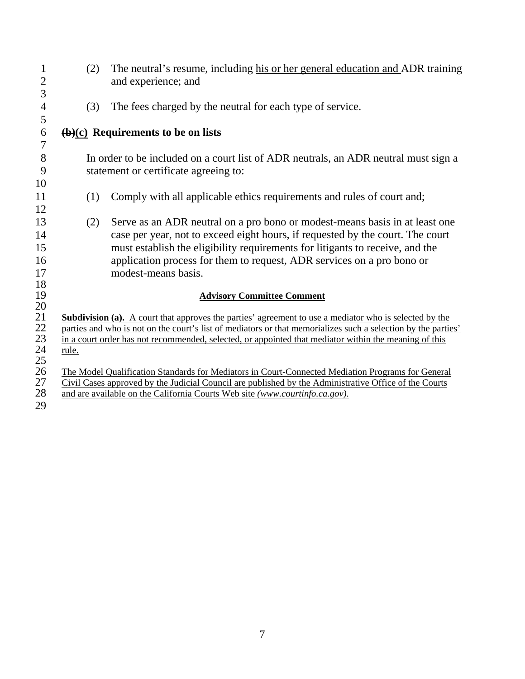| 1<br>$\overline{2}$   | (2)   | The neutral's resume, including his or her general education and ADR training<br>and experience; and          |
|-----------------------|-------|---------------------------------------------------------------------------------------------------------------|
| 3                     |       |                                                                                                               |
| $\overline{4}$        | (3)   | The fees charged by the neutral for each type of service.                                                     |
| 5                     |       |                                                                                                               |
| 6<br>$\boldsymbol{7}$ |       | $\overline{(b)(c)}$ Requirements to be on lists                                                               |
| $8\,$                 |       | In order to be included on a court list of ADR neutrals, an ADR neutral must sign a                           |
| 9                     |       | statement or certificate agreeing to:                                                                         |
| 10                    |       |                                                                                                               |
| 11                    | (1)   | Comply with all applicable ethics requirements and rules of court and;                                        |
| 12                    |       |                                                                                                               |
| 13                    | (2)   | Serve as an ADR neutral on a pro bono or modest-means basis in at least one                                   |
| 14                    |       | case per year, not to exceed eight hours, if requested by the court. The court                                |
| 15                    |       | must establish the eligibility requirements for litigants to receive, and the                                 |
| 16                    |       | application process for them to request, ADR services on a pro bono or                                        |
| 17                    |       | modest-means basis.                                                                                           |
| 18<br>19              |       | <b>Advisory Committee Comment</b>                                                                             |
| 20                    |       |                                                                                                               |
| 21                    |       | Subdivision (a). A court that approves the parties' agreement to use a mediator who is selected by the        |
| 22                    |       | parties and who is not on the court's list of mediators or that memorializes such a selection by the parties' |
| 23                    |       | in a court order has not recommended, selected, or appointed that mediator within the meaning of this         |
| 24<br>25              | rule. |                                                                                                               |
| 26                    |       | The Model Qualification Standards for Mediators in Court-Connected Mediation Programs for General             |
| 27                    |       | Civil Cases approved by the Judicial Council are published by the Administrative Office of the Courts         |
| 28                    |       | and are available on the California Courts Web site (www.courtinfo.ca.gov).                                   |
| 29                    |       |                                                                                                               |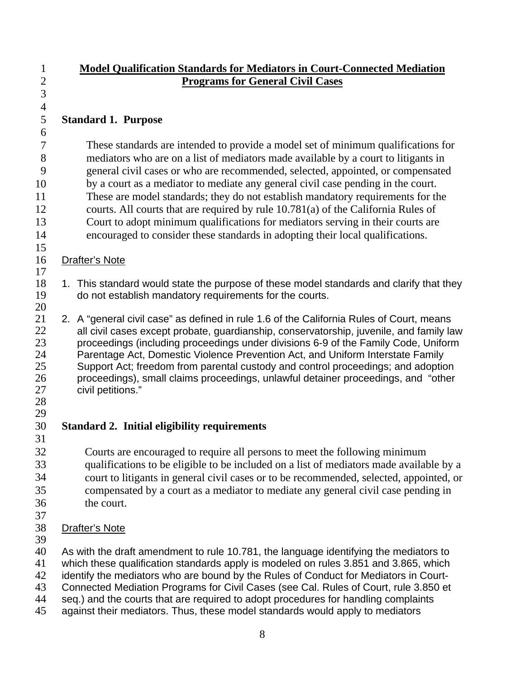| $\mathbf{1}$   | <b>Model Qualification Standards for Mediators in Court-Connected Mediation</b>                                                                                               |
|----------------|-------------------------------------------------------------------------------------------------------------------------------------------------------------------------------|
| $\overline{2}$ | <b>Programs for General Civil Cases</b>                                                                                                                                       |
| $\overline{3}$ |                                                                                                                                                                               |
| $\overline{4}$ |                                                                                                                                                                               |
| 5              | <b>Standard 1. Purpose</b>                                                                                                                                                    |
| 6              |                                                                                                                                                                               |
| 7              | These standards are intended to provide a model set of minimum qualifications for                                                                                             |
| 8              | mediators who are on a list of mediators made available by a court to litigants in                                                                                            |
| 9              | general civil cases or who are recommended, selected, appointed, or compensated                                                                                               |
| 10             | by a court as a mediator to mediate any general civil case pending in the court.                                                                                              |
| 11             | These are model standards; they do not establish mandatory requirements for the                                                                                               |
| 12             | courts. All courts that are required by rule 10.781(a) of the California Rules of                                                                                             |
| 13             | Court to adopt minimum qualifications for mediators serving in their courts are                                                                                               |
| 14             | encouraged to consider these standards in adopting their local qualifications.                                                                                                |
| 15             |                                                                                                                                                                               |
| 16             | <b>Drafter's Note</b>                                                                                                                                                         |
| 17             |                                                                                                                                                                               |
| 18             | 1. This standard would state the purpose of these model standards and clarify that they                                                                                       |
| 19             | do not establish mandatory requirements for the courts.                                                                                                                       |
| 20             |                                                                                                                                                                               |
| 21<br>22       | 2. A "general civil case" as defined in rule 1.6 of the California Rules of Court, means                                                                                      |
| 23             | all civil cases except probate, guardianship, conservatorship, juvenile, and family law<br>proceedings (including proceedings under divisions 6-9 of the Family Code, Uniform |
| 24             | Parentage Act, Domestic Violence Prevention Act, and Uniform Interstate Family                                                                                                |
| 25             | Support Act; freedom from parental custody and control proceedings; and adoption                                                                                              |
| 26             | proceedings), small claims proceedings, unlawful detainer proceedings, and "other                                                                                             |
| 27             | civil petitions."                                                                                                                                                             |
| 28             |                                                                                                                                                                               |
| 29             |                                                                                                                                                                               |
| 30             | <b>Standard 2. Initial eligibility requirements</b>                                                                                                                           |
| 31             |                                                                                                                                                                               |
| 32             | Courts are encouraged to require all persons to meet the following minimum                                                                                                    |
| 33             | qualifications to be eligible to be included on a list of mediators made available by a                                                                                       |
| 34             | court to litigants in general civil cases or to be recommended, selected, appointed, or                                                                                       |
| 35             | compensated by a court as a mediator to mediate any general civil case pending in                                                                                             |
| 36             | the court.                                                                                                                                                                    |
| 37             |                                                                                                                                                                               |
| 38             | <b>Drafter's Note</b>                                                                                                                                                         |
| 39             |                                                                                                                                                                               |
| 40             | As with the draft amendment to rule 10.781, the language identifying the mediators to                                                                                         |
| 41<br>42       | which these qualification standards apply is modeled on rules 3.851 and 3.865, which                                                                                          |
| 43             | identify the mediators who are bound by the Rules of Conduct for Mediators in Court-<br>Connected Mediation Programs for Civil Cases (see Cal. Rules of Court, rule 3.850 et  |
| 44             | seq.) and the courts that are required to adopt procedures for handling complaints                                                                                            |
| 45             | against their mediators. Thus, these model standards would apply to mediators                                                                                                 |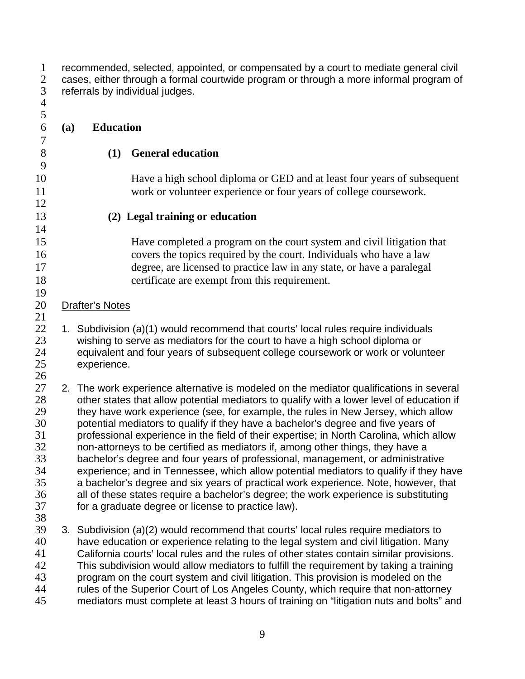1 2 3 recommended, selected, appointed, or compensated by a court to mediate general civil cases, either through a formal courtwide program or through a more informal program of referrals by individual judges.

| 4        |     |                                                                                                                                                                               |
|----------|-----|-------------------------------------------------------------------------------------------------------------------------------------------------------------------------------|
| 5        |     |                                                                                                                                                                               |
| 6        | (a) | <b>Education</b>                                                                                                                                                              |
| 7        |     |                                                                                                                                                                               |
| $8\,$    |     | <b>General education</b><br>(1)                                                                                                                                               |
| 9        |     |                                                                                                                                                                               |
| 10       |     | Have a high school diploma or GED and at least four years of subsequent                                                                                                       |
| 11       |     | work or volunteer experience or four years of college coursework.                                                                                                             |
| 12       |     |                                                                                                                                                                               |
| 13       |     | (2) Legal training or education                                                                                                                                               |
| 14       |     |                                                                                                                                                                               |
| 15       |     | Have completed a program on the court system and civil litigation that                                                                                                        |
| 16       |     | covers the topics required by the court. Individuals who have a law                                                                                                           |
| 17       |     | degree, are licensed to practice law in any state, or have a paralegal                                                                                                        |
| 18       |     | certificate are exempt from this requirement.                                                                                                                                 |
| 19<br>20 |     | <b>Drafter's Notes</b>                                                                                                                                                        |
| 21       |     |                                                                                                                                                                               |
| 22       |     | 1. Subdivision (a)(1) would recommend that courts' local rules require individuals                                                                                            |
| 23       |     | wishing to serve as mediators for the court to have a high school diploma or                                                                                                  |
| 24       |     | equivalent and four years of subsequent college coursework or work or volunteer                                                                                               |
| 25       |     | experience.                                                                                                                                                                   |
| 26       |     |                                                                                                                                                                               |
| 27       |     | 2. The work experience alternative is modeled on the mediator qualifications in several                                                                                       |
| 28       |     | other states that allow potential mediators to qualify with a lower level of education if                                                                                     |
| 29       |     | they have work experience (see, for example, the rules in New Jersey, which allow                                                                                             |
| 30<br>31 |     | potential mediators to qualify if they have a bachelor's degree and five years of<br>professional experience in the field of their expertise; in North Carolina, which allow  |
| 32       |     | non-attorneys to be certified as mediators if, among other things, they have a                                                                                                |
| 33       |     | bachelor's degree and four years of professional, management, or administrative                                                                                               |
| 34       |     | experience; and in Tennessee, which allow potential mediators to qualify if they have                                                                                         |
| 35       |     | a bachelor's degree and six years of practical work experience. Note, however, that                                                                                           |
| 36       |     | all of these states require a bachelor's degree; the work experience is substituting                                                                                          |
| 37       |     | for a graduate degree or license to practice law).                                                                                                                            |
| 38       |     |                                                                                                                                                                               |
| 39       |     | 3. Subdivision (a)(2) would recommend that courts' local rules require mediators to                                                                                           |
| 40       |     | have education or experience relating to the legal system and civil litigation. Many                                                                                          |
| 41       |     | California courts' local rules and the rules of other states contain similar provisions.                                                                                      |
| 42       |     | This subdivision would allow mediators to fulfill the requirement by taking a training                                                                                        |
| 43       |     | program on the court system and civil litigation. This provision is modeled on the                                                                                            |
| 44<br>45 |     | rules of the Superior Court of Los Angeles County, which require that non-attorney<br>mediators must complete at least 3 hours of training on "litigation nuts and bolts" and |
|          |     |                                                                                                                                                                               |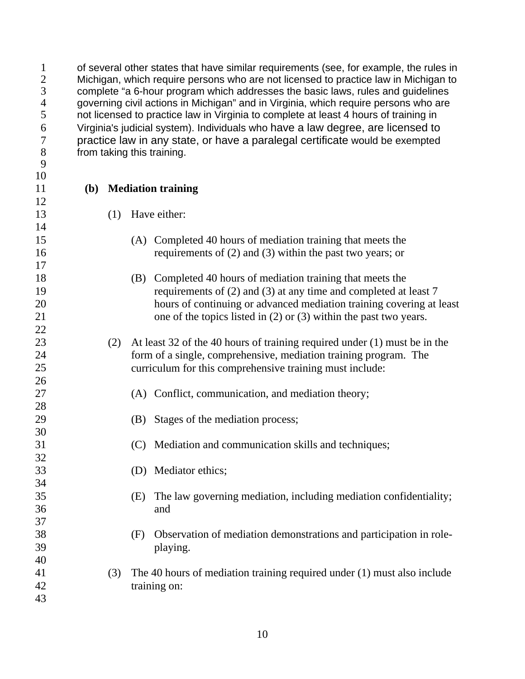of several other states that have similar requirements (see, for example, the rules in Michigan, which require persons who are not licensed to practice law in Michigan to complete "a 6-hour program which addresses the basic laws, rules and guidelines 4 governing civil actions in Michigan" and in Virginia, which require persons who are<br>5 ont licensed to practice law in Virginia to complete at least 4 hours of training in not licensed to practice law in Virginia to complete at least 4 hours of training in Virginia's judicial system). Individuals who have a law degree, are licensed to practice law in any state, or have a paralegal certificate would be exempted from taking this training.

**(b) Mediation training** 

- (1) Have either:
	- (A) Completed 40 hours of mediation training that meets the requirements of (2) and (3) within the past two years; or
	- (B) Completed 40 hours of mediation training that meets the requirements of (2) and (3) at any time and completed at least 7 hours of continuing or advanced mediation training covering at least one of the topics listed in (2) or (3) within the past two years.
- (2) At least 32 of the 40 hours of training required under (1) must be in the form of a single, comprehensive, mediation training program. The curriculum for this comprehensive training must include:
	- (A) Conflict, communication, and mediation theory;
	- (B) Stages of the mediation process;
	- (C) Mediation and communication skills and techniques;
	- (D) Mediator ethics;
		- (E) The law governing mediation, including mediation confidentiality; and
		- (F) Observation of mediation demonstrations and participation in roleplaying.
- (3) The 40 hours of mediation training required under (1) must also include training on:
	-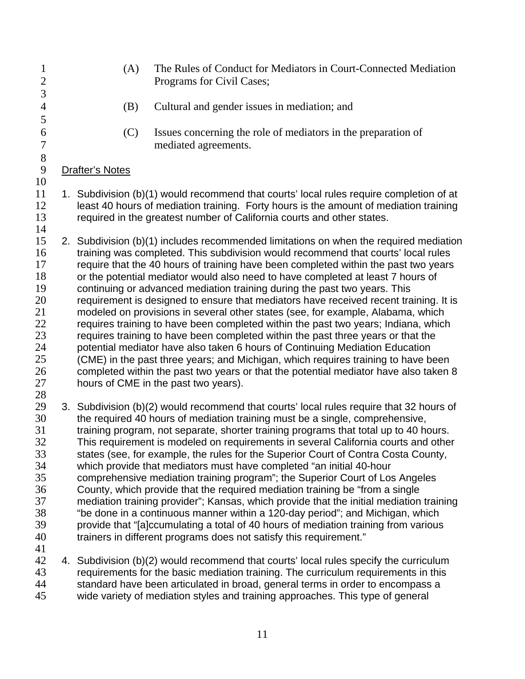- 1 2 3 4 5 6 7 8 (A) The Rules of Conduct for Mediators in Court-Connected Mediation Programs for Civil Cases; (B) Cultural and gender issues in mediation; and (C) Issues concerning the role of mediators in the preparation of mediated agreements. 9 10 12 13 14 16 17 18 19 20 21 22 23 24 25 26 27 28 30 31 32 33 34 35 36 37 38 Drafter's Notes 11 1. Subdivision (b)(1) would recommend that courts' local rules require completion of at least 40 hours of mediation training. Forty hours is the amount of mediation training required in the greatest number of California courts and other states. 15 2. Subdivision (b)(1) includes recommended limitations on when the required mediation training was completed. This subdivision would recommend that courts' local rules require that the 40 hours of training have been completed within the past two years or the potential mediator would also need to have completed at least 7 hours of continuing or advanced mediation training during the past two years. This requirement is designed to ensure that mediators have received recent training. It is modeled on provisions in several other states (see, for example, Alabama, which requires training to have been completed within the past two years; Indiana, which requires training to have been completed within the past three years or that the potential mediator have also taken 6 hours of Continuing Mediation Education (CME) in the past three years; and Michigan, which requires training to have been completed within the past two years or that the potential mediator have also taken 8 hours of CME in the past two years). 3. Subdivision (b)(2) would recommend that courts' local rules require that 32 hours of the required 40 hours of mediation training must be a single, comprehensive, training program, not separate, shorter training programs that total up to 40 hours. This requirement is modeled on requirements in several California courts and other states (see, for example, the rules for the Superior Court of Contra Costa County, which provide that mediators must have completed "an initial 40-hour comprehensive mediation training program"; the Superior Court of Los Angeles County, which provide that the required mediation training be "from a single mediation training provider"; Kansas, which provide that the initial mediation training "be done in a continuous manner within a 120-day period"; and Michigan, which
- 39 40 41

43 44 45 42 4. Subdivision (b)(2) would recommend that courts' local rules specify the curriculum requirements for the basic mediation training. The curriculum requirements in this standard have been articulated in broad, general terms in order to encompass a wide variety of mediation styles and training approaches. This type of general

trainers in different programs does not satisfy this requirement."

provide that "[a]ccumulating a total of 40 hours of mediation training from various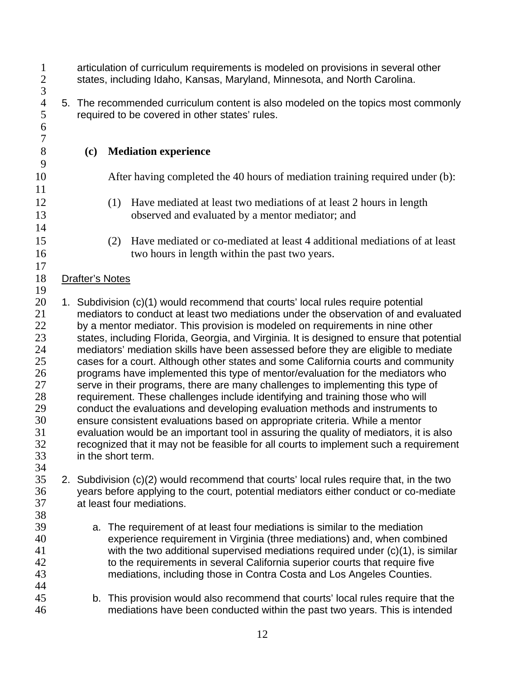| $\mathbf{1}$<br>$\mathbf{2}$<br>$\overline{3}$                                               | articulation of curriculum requirements is modeled on provisions in several other<br>states, including Idaho, Kansas, Maryland, Minnesota, and North Carolina. |     |                                                                                                                                                                                                                                                                                                                                                                                                                                                                                                                                                                                                                                                                                                                                                                                                                                                                                                                                                                                                                                                                                                                                                                |  |
|----------------------------------------------------------------------------------------------|----------------------------------------------------------------------------------------------------------------------------------------------------------------|-----|----------------------------------------------------------------------------------------------------------------------------------------------------------------------------------------------------------------------------------------------------------------------------------------------------------------------------------------------------------------------------------------------------------------------------------------------------------------------------------------------------------------------------------------------------------------------------------------------------------------------------------------------------------------------------------------------------------------------------------------------------------------------------------------------------------------------------------------------------------------------------------------------------------------------------------------------------------------------------------------------------------------------------------------------------------------------------------------------------------------------------------------------------------------|--|
| $\overline{4}$<br>5<br>6<br>$\overline{7}$                                                   |                                                                                                                                                                |     | 5. The recommended curriculum content is also modeled on the topics most commonly<br>required to be covered in other states' rules.                                                                                                                                                                                                                                                                                                                                                                                                                                                                                                                                                                                                                                                                                                                                                                                                                                                                                                                                                                                                                            |  |
| 8                                                                                            | (c)                                                                                                                                                            |     | <b>Mediation experience</b>                                                                                                                                                                                                                                                                                                                                                                                                                                                                                                                                                                                                                                                                                                                                                                                                                                                                                                                                                                                                                                                                                                                                    |  |
| 9<br>10                                                                                      |                                                                                                                                                                |     | After having completed the 40 hours of mediation training required under (b):                                                                                                                                                                                                                                                                                                                                                                                                                                                                                                                                                                                                                                                                                                                                                                                                                                                                                                                                                                                                                                                                                  |  |
| 11<br>12<br>13                                                                               |                                                                                                                                                                | (1) | Have mediated at least two mediations of at least 2 hours in length<br>observed and evaluated by a mentor mediator; and                                                                                                                                                                                                                                                                                                                                                                                                                                                                                                                                                                                                                                                                                                                                                                                                                                                                                                                                                                                                                                        |  |
| 14<br>15<br>16                                                                               |                                                                                                                                                                | (2) | Have mediated or co-mediated at least 4 additional mediations of at least<br>two hours in length within the past two years.                                                                                                                                                                                                                                                                                                                                                                                                                                                                                                                                                                                                                                                                                                                                                                                                                                                                                                                                                                                                                                    |  |
| 17<br>18                                                                                     | <b>Drafter's Notes</b>                                                                                                                                         |     |                                                                                                                                                                                                                                                                                                                                                                                                                                                                                                                                                                                                                                                                                                                                                                                                                                                                                                                                                                                                                                                                                                                                                                |  |
| 19<br>20<br>21<br>22<br>23<br>24<br>25<br>26<br>27<br>28<br>29<br>30<br>31<br>32<br>33<br>34 |                                                                                                                                                                |     | 1. Subdivision (c)(1) would recommend that courts' local rules require potential<br>mediators to conduct at least two mediations under the observation of and evaluated<br>by a mentor mediator. This provision is modeled on requirements in nine other<br>states, including Florida, Georgia, and Virginia. It is designed to ensure that potential<br>mediators' mediation skills have been assessed before they are eligible to mediate<br>cases for a court. Although other states and some California courts and community<br>programs have implemented this type of mentor/evaluation for the mediators who<br>serve in their programs, there are many challenges to implementing this type of<br>requirement. These challenges include identifying and training those who will<br>conduct the evaluations and developing evaluation methods and instruments to<br>ensure consistent evaluations based on appropriate criteria. While a mentor<br>evaluation would be an important tool in assuring the quality of mediators, it is also<br>recognized that it may not be feasible for all courts to implement such a requirement<br>in the short term. |  |
| 35<br>36<br>37<br>38                                                                         |                                                                                                                                                                |     | 2. Subdivision (c)(2) would recommend that courts' local rules require that, in the two<br>years before applying to the court, potential mediators either conduct or co-mediate<br>at least four mediations.                                                                                                                                                                                                                                                                                                                                                                                                                                                                                                                                                                                                                                                                                                                                                                                                                                                                                                                                                   |  |
| 39<br>40<br>41<br>42<br>43<br>44                                                             |                                                                                                                                                                |     | a. The requirement of at least four mediations is similar to the mediation<br>experience requirement in Virginia (three mediations) and, when combined<br>with the two additional supervised mediations required under (c)(1), is similar<br>to the requirements in several California superior courts that require five<br>mediations, including those in Contra Costa and Los Angeles Counties.                                                                                                                                                                                                                                                                                                                                                                                                                                                                                                                                                                                                                                                                                                                                                              |  |
| 45<br>46                                                                                     |                                                                                                                                                                |     | b. This provision would also recommend that courts' local rules require that the<br>mediations have been conducted within the past two years. This is intended                                                                                                                                                                                                                                                                                                                                                                                                                                                                                                                                                                                                                                                                                                                                                                                                                                                                                                                                                                                                 |  |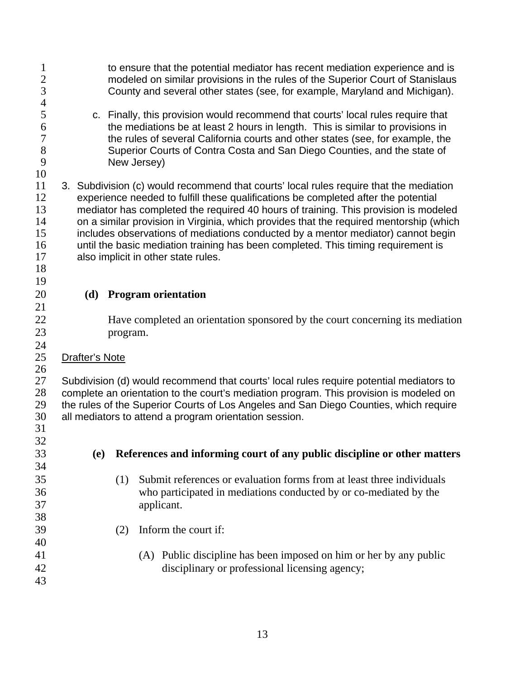| $\mathbf 1$<br>$\overline{2}$<br>$\mathfrak{Z}$<br>$\overline{\mathcal{A}}$ |                | to ensure that the potential mediator has recent mediation experience and is<br>modeled on similar provisions in the rules of the Superior Court of Stanislaus<br>County and several other states (see, for example, Maryland and Michigan).                                                                                                                                                                                                                                                                                                                                  |
|-----------------------------------------------------------------------------|----------------|-------------------------------------------------------------------------------------------------------------------------------------------------------------------------------------------------------------------------------------------------------------------------------------------------------------------------------------------------------------------------------------------------------------------------------------------------------------------------------------------------------------------------------------------------------------------------------|
| 5<br>6<br>$\overline{7}$<br>8<br>9<br>10                                    |                | c. Finally, this provision would recommend that courts' local rules require that<br>the mediations be at least 2 hours in length. This is similar to provisions in<br>the rules of several California courts and other states (see, for example, the<br>Superior Courts of Contra Costa and San Diego Counties, and the state of<br>New Jersey)                                                                                                                                                                                                                               |
| 11<br>12<br>13<br>14<br>15<br>16<br>17<br>18                                |                | 3. Subdivision (c) would recommend that courts' local rules require that the mediation<br>experience needed to fulfill these qualifications be completed after the potential<br>mediator has completed the required 40 hours of training. This provision is modeled<br>on a similar provision in Virginia, which provides that the required mentorship (which<br>includes observations of mediations conducted by a mentor mediator) cannot begin<br>until the basic mediation training has been completed. This timing requirement is<br>also implicit in other state rules. |
| 19<br>20                                                                    | (d)            | <b>Program orientation</b>                                                                                                                                                                                                                                                                                                                                                                                                                                                                                                                                                    |
| 21                                                                          |                |                                                                                                                                                                                                                                                                                                                                                                                                                                                                                                                                                                               |
| 22<br>23                                                                    |                | Have completed an orientation sponsored by the court concerning its mediation<br>program.                                                                                                                                                                                                                                                                                                                                                                                                                                                                                     |
| 24<br>25<br>26                                                              | Drafter's Note |                                                                                                                                                                                                                                                                                                                                                                                                                                                                                                                                                                               |
| 27<br>28<br>29<br>30<br>31                                                  |                | Subdivision (d) would recommend that courts' local rules require potential mediators to<br>complete an orientation to the court's mediation program. This provision is modeled on<br>the rules of the Superior Courts of Los Angeles and San Diego Counties, which require<br>all mediators to attend a program orientation session.                                                                                                                                                                                                                                          |
| 32<br>33                                                                    | <b>(e)</b>     | References and informing court of any public discipline or other matters                                                                                                                                                                                                                                                                                                                                                                                                                                                                                                      |
| 34<br>35<br>36<br>37<br>38                                                  |                | Submit references or evaluation forms from at least three individuals<br>(1)<br>who participated in mediations conducted by or co-mediated by the<br>applicant.                                                                                                                                                                                                                                                                                                                                                                                                               |
| 39<br>40                                                                    |                | Inform the court if:<br>(2)                                                                                                                                                                                                                                                                                                                                                                                                                                                                                                                                                   |
| 41<br>42<br>43                                                              |                | (A) Public discipline has been imposed on him or her by any public<br>disciplinary or professional licensing agency;                                                                                                                                                                                                                                                                                                                                                                                                                                                          |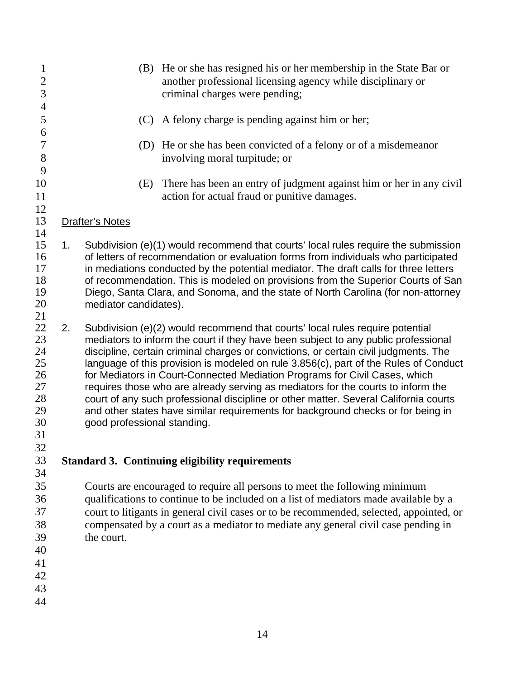| 1<br>$\frac{2}{3}$<br>$\overline{4}$                           |    |                             | (B) He or she has resigned his or her membership in the State Bar or<br>another professional licensing agency while disciplinary or<br>criminal charges were pending;                                                                                                                                                                                                                                                                                                                                                                                                                                                                                                                             |
|----------------------------------------------------------------|----|-----------------------------|---------------------------------------------------------------------------------------------------------------------------------------------------------------------------------------------------------------------------------------------------------------------------------------------------------------------------------------------------------------------------------------------------------------------------------------------------------------------------------------------------------------------------------------------------------------------------------------------------------------------------------------------------------------------------------------------------|
| 5<br>6                                                         |    | (C)                         | A felony charge is pending against him or her;                                                                                                                                                                                                                                                                                                                                                                                                                                                                                                                                                                                                                                                    |
| $\overline{7}$<br>$8\,$<br>9                                   |    |                             | (D) He or she has been convicted of a felony or of a misdemeanor<br>involving moral turpitude; or                                                                                                                                                                                                                                                                                                                                                                                                                                                                                                                                                                                                 |
| 10<br>11<br>12                                                 |    | (E)                         | There has been an entry of judgment against him or her in any civil<br>action for actual fraud or punitive damages.                                                                                                                                                                                                                                                                                                                                                                                                                                                                                                                                                                               |
| 13<br>14                                                       |    | <b>Drafter's Notes</b>      |                                                                                                                                                                                                                                                                                                                                                                                                                                                                                                                                                                                                                                                                                                   |
| 15<br>16<br>17<br>18<br>19<br>20<br>21                         | 1. | mediator candidates).       | Subdivision (e)(1) would recommend that courts' local rules require the submission<br>of letters of recommendation or evaluation forms from individuals who participated<br>in mediations conducted by the potential mediator. The draft calls for three letters<br>of recommendation. This is modeled on provisions from the Superior Courts of San<br>Diego, Santa Clara, and Sonoma, and the state of North Carolina (for non-attorney                                                                                                                                                                                                                                                         |
| 22<br>23<br>24<br>25<br>26<br>27<br>28<br>29<br>30<br>31<br>32 | 2. | good professional standing. | Subdivision (e)(2) would recommend that courts' local rules require potential<br>mediators to inform the court if they have been subject to any public professional<br>discipline, certain criminal charges or convictions, or certain civil judgments. The<br>language of this provision is modeled on rule 3.856(c), part of the Rules of Conduct<br>for Mediators in Court-Connected Mediation Programs for Civil Cases, which<br>requires those who are already serving as mediators for the courts to inform the<br>court of any such professional discipline or other matter. Several California courts<br>and other states have similar requirements for background checks or for being in |
| 33<br>34                                                       |    |                             | <b>Standard 3. Continuing eligibility requirements</b>                                                                                                                                                                                                                                                                                                                                                                                                                                                                                                                                                                                                                                            |
| 35<br>36<br>37<br>38<br>39<br>40<br>41<br>42<br>43<br>44       |    | the court.                  | Courts are encouraged to require all persons to meet the following minimum<br>qualifications to continue to be included on a list of mediators made available by a<br>court to litigants in general civil cases or to be recommended, selected, appointed, or<br>compensated by a court as a mediator to mediate any general civil case pending in                                                                                                                                                                                                                                                                                                                                                |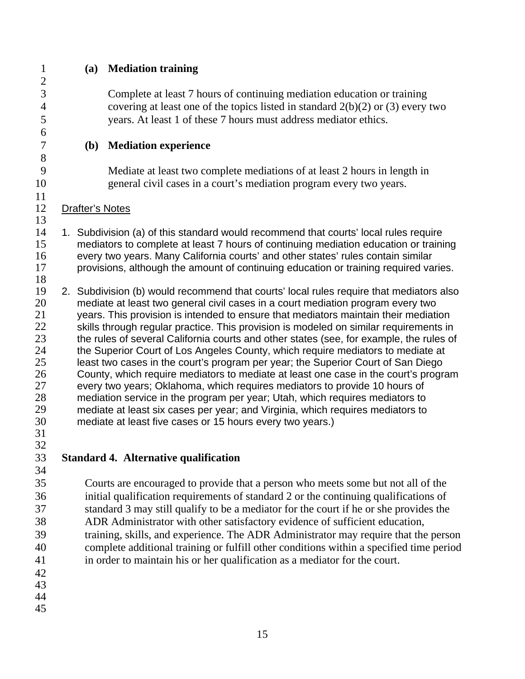- **(a) Mediation training** 
	- Complete at least 7 hours of continuing mediation education or training covering at least one of the topics listed in standard  $2(b)(2)$  or (3) every two years. At least 1 of these 7 hours must address mediator ethics.
	- **(b) Mediation experience** 
		- Mediate at least two complete mediations of at least 2 hours in length in general civil cases in a court's mediation program every two years.
- Drafter's Notes
- 1. Subdivision (a) of this standard would recommend that courts' local rules require mediators to complete at least 7 hours of continuing mediation education or training every two years. Many California courts' and other states' rules contain similar provisions, although the amount of continuing education or training required varies.
- 2. Subdivision (b) would recommend that courts' local rules require that mediators also mediate at least two general civil cases in a court mediation program every two years. This provision is intended to ensure that mediators maintain their mediation skills through regular practice. This provision is modeled on similar requirements in the rules of several California courts and other states (see, for example, the rules of the Superior Court of Los Angeles County, which require mediators to mediate at least two cases in the court's program per year; the Superior Court of San Diego County, which require mediators to mediate at least one case in the court's program every two years; Oklahoma, which requires mediators to provide 10 hours of mediation service in the program per year; Utah, which requires mediators to mediate at least six cases per year; and Virginia, which requires mediators to mediate at least five cases or 15 hours every two years.)
- 

- **Standard 4. Alternative qualification**
- Courts are encouraged to provide that a person who meets some but not all of the initial qualification requirements of standard 2 or the continuing qualifications of standard 3 may still qualify to be a mediator for the court if he or she provides the ADR Administrator with other satisfactory evidence of sufficient education, training, skills, and experience. The ADR Administrator may require that the person complete additional training or fulfill other conditions within a specified time period in order to maintain his or her qualification as a mediator for the court.
- 
- 
-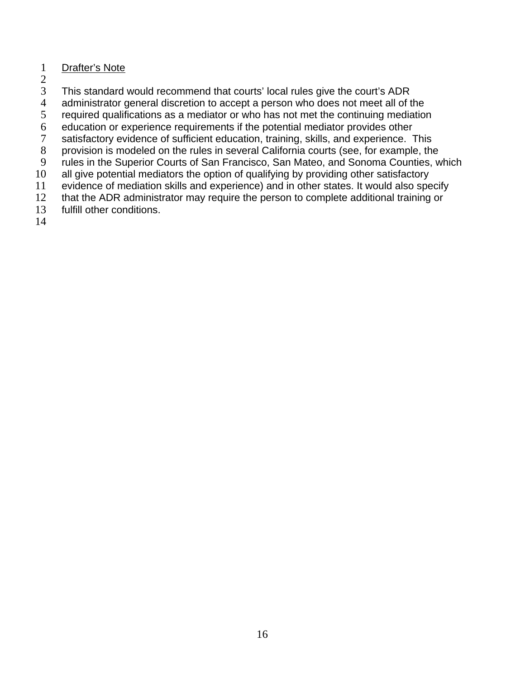## 1 Drafter's Note

- 2
- 3 This standard would recommend that courts' local rules give the court's ADR
- 4 administrator general discretion to accept a person who does not meet all of the
- 5 required qualifications as a mediator or who has not met the continuing mediation
- 6 education or experience requirements if the potential mediator provides other
- 7 satisfactory evidence of sufficient education, training, skills, and experience. This
- 8 provision is modeled on the rules in several California courts (see, for example, the
- 9 rules in the Superior Courts of San Francisco, San Mateo, and Sonoma Counties, which
- 10 all give potential mediators the option of qualifying by providing other satisfactory
- 11 evidence of mediation skills and experience) and in other states. It would also specify
- 12 that the ADR administrator may require the person to complete additional training or
- 13 fulfill other conditions.
- 14